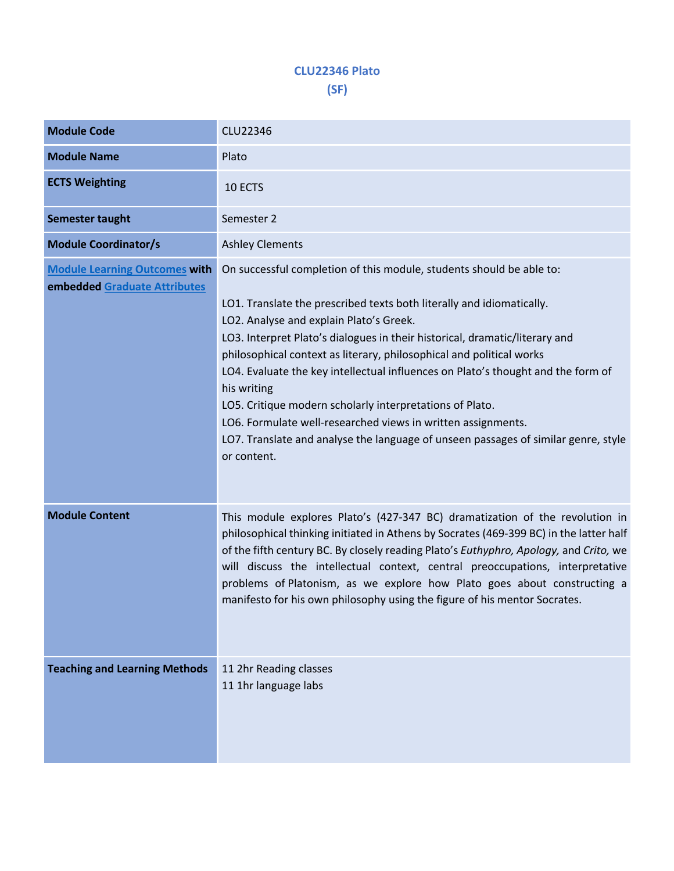## **CLU22346 Plato (SF)**

| <b>Module Code</b>                                                   | <b>CLU22346</b>                                                                                                                                                                                                                                                                                                                                                                                                                                                                                                                                                                                                                                                                     |  |  |  |  |
|----------------------------------------------------------------------|-------------------------------------------------------------------------------------------------------------------------------------------------------------------------------------------------------------------------------------------------------------------------------------------------------------------------------------------------------------------------------------------------------------------------------------------------------------------------------------------------------------------------------------------------------------------------------------------------------------------------------------------------------------------------------------|--|--|--|--|
| <b>Module Name</b>                                                   | Plato                                                                                                                                                                                                                                                                                                                                                                                                                                                                                                                                                                                                                                                                               |  |  |  |  |
| <b>ECTS Weighting</b>                                                | 10 ECTS                                                                                                                                                                                                                                                                                                                                                                                                                                                                                                                                                                                                                                                                             |  |  |  |  |
| Semester taught                                                      | Semester 2                                                                                                                                                                                                                                                                                                                                                                                                                                                                                                                                                                                                                                                                          |  |  |  |  |
| <b>Module Coordinator/s</b>                                          | <b>Ashley Clements</b>                                                                                                                                                                                                                                                                                                                                                                                                                                                                                                                                                                                                                                                              |  |  |  |  |
| <b>Module Learning Outcomes with</b><br>embedded Graduate Attributes | On successful completion of this module, students should be able to:<br>LO1. Translate the prescribed texts both literally and idiomatically.<br>LO2. Analyse and explain Plato's Greek.<br>LO3. Interpret Plato's dialogues in their historical, dramatic/literary and<br>philosophical context as literary, philosophical and political works<br>LO4. Evaluate the key intellectual influences on Plato's thought and the form of<br>his writing<br>LO5. Critique modern scholarly interpretations of Plato.<br>LO6. Formulate well-researched views in written assignments.<br>LO7. Translate and analyse the language of unseen passages of similar genre, style<br>or content. |  |  |  |  |
| <b>Module Content</b>                                                | This module explores Plato's (427-347 BC) dramatization of the revolution in<br>philosophical thinking initiated in Athens by Socrates (469-399 BC) in the latter half<br>of the fifth century BC. By closely reading Plato's Euthyphro, Apology, and Crito, we<br>will discuss the intellectual context, central preoccupations, interpretative<br>problems of Platonism, as we explore how Plato goes about constructing a<br>manifesto for his own philosophy using the figure of his mentor Socrates.                                                                                                                                                                           |  |  |  |  |
| <b>Teaching and Learning Methods</b>                                 | 11 2hr Reading classes<br>11 1hr language labs                                                                                                                                                                                                                                                                                                                                                                                                                                                                                                                                                                                                                                      |  |  |  |  |